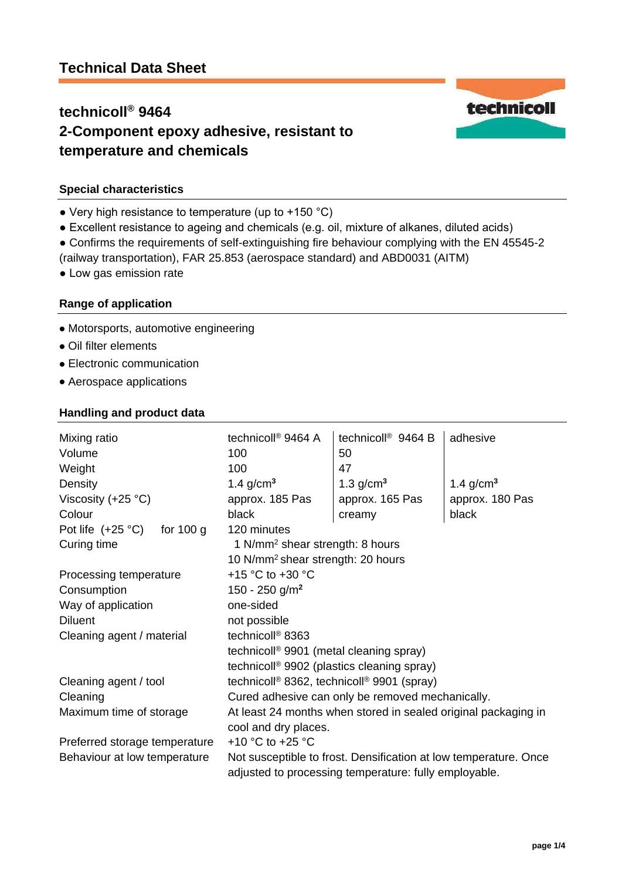# **Technical Data Sheet**

# **technicoll® 9464 2-Component epoxy adhesive, resistant to temperature and chemicals**



# **Special characteristics**

- Very high resistance to temperature (up to +150 °C)
- Excellent resistance to ageing and chemicals (e.g. oil, mixture of alkanes, diluted acids)
- Confirms the requirements of self-extinguishing fire behaviour complying with the EN 45545-2
- (railway transportation), FAR 25.853 (aerospace standard) and ABD0031 (AITM)
- Low gas emission rate

# **Range of application**

- Motorsports, automotive engineering
- Oil filter elements
- Electronic communication
- Aerospace applications

### **Handling and product data**

| Mixing ratio<br>Volume<br>Weight          | technicoll <sup>®</sup> 9464 A<br>100<br>100                                                                              | technicoll <sup>®</sup> 9464 B<br>50<br>47 | adhesive                 |
|-------------------------------------------|---------------------------------------------------------------------------------------------------------------------------|--------------------------------------------|--------------------------|
| Density                                   | 1.4 $g/cm3$                                                                                                               | 1.3 $g/cm3$                                | 1.4 $g/cm3$              |
| Viscosity (+25 $°C$ )<br>Colour           | approx. 185 Pas<br>black                                                                                                  | approx. 165 Pas                            | approx. 180 Pas<br>black |
| for $100 g$<br>Pot life $(+25 \degree C)$ | 120 minutes                                                                                                               | creamy                                     |                          |
| Curing time                               | 1 N/mm <sup>2</sup> shear strength: 8 hours                                                                               |                                            |                          |
|                                           | 10 N/mm <sup>2</sup> shear strength: 20 hours                                                                             |                                            |                          |
| Processing temperature                    | +15 $\degree$ C to +30 $\degree$ C                                                                                        |                                            |                          |
| Consumption                               | 150 - 250 g/m <sup>2</sup>                                                                                                |                                            |                          |
| Way of application                        | one-sided                                                                                                                 |                                            |                          |
| <b>Diluent</b>                            | not possible                                                                                                              |                                            |                          |
| Cleaning agent / material                 | technicoll <sup>®</sup> 8363                                                                                              |                                            |                          |
|                                           | technicoll <sup>®</sup> 9901 (metal cleaning spray)                                                                       |                                            |                          |
|                                           | technicoll <sup>®</sup> 9902 (plastics cleaning spray)                                                                    |                                            |                          |
| Cleaning agent / tool                     | technicoll <sup>®</sup> 8362, technicoll <sup>®</sup> 9901 (spray)                                                        |                                            |                          |
| Cleaning                                  | Cured adhesive can only be removed mechanically.                                                                          |                                            |                          |
| Maximum time of storage                   | At least 24 months when stored in sealed original packaging in                                                            |                                            |                          |
|                                           | cool and dry places.                                                                                                      |                                            |                          |
| Preferred storage temperature             | +10 °C to +25 °C                                                                                                          |                                            |                          |
| Behaviour at low temperature              | Not susceptible to frost. Densification at low temperature. Once<br>adjusted to processing temperature: fully employable. |                                            |                          |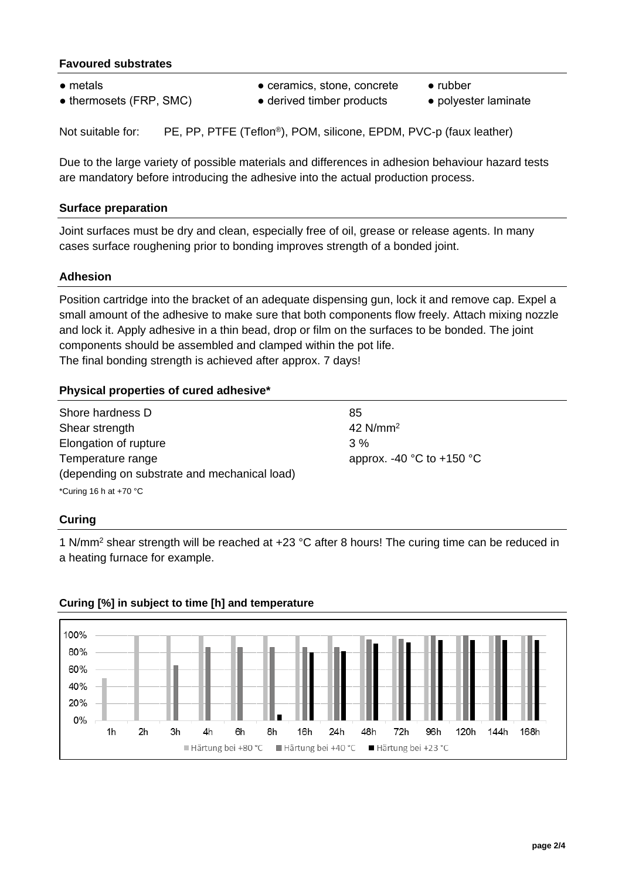# **Favoured substrates**

- 
- thermosets (FRP, SMC) derived timber products polyester laminate
- metals ceramics, stone, concrete rubber
- -

Not suitable for: PE, PP, PTFE (Teflon®), POM, silicone, EPDM, PVC-p (faux leather)

Due to the large variety of possible materials and differences in adhesion behaviour hazard tests are mandatory before introducing the adhesive into the actual production process.

# **Surface preparation**

Joint surfaces must be dry and clean, especially free of oil, grease or release agents. In many cases surface roughening prior to bonding improves strength of a bonded joint.

### **Adhesion**

Position cartridge into the bracket of an adequate dispensing gun, lock it and remove cap. Expel a small amount of the adhesive to make sure that both components flow freely. Attach mixing nozzle and lock it. Apply adhesive in a thin bead, drop or film on the surfaces to be bonded. The joint components should be assembled and clamped within the pot life. The final bonding strength is achieved after approx. 7 days!

# **Physical properties of cured adhesive\***

| Shore hardness D                             | 85                                            |  |  |
|----------------------------------------------|-----------------------------------------------|--|--|
| Shear strength                               | $42$ N/mm <sup>2</sup>                        |  |  |
| Elongation of rupture                        | 3%                                            |  |  |
| Temperature range                            | approx. -40 $^{\circ}$ C to +150 $^{\circ}$ C |  |  |
| (depending on substrate and mechanical load) |                                               |  |  |
| *Curing 16 h at $+70$ °C                     |                                               |  |  |

#### **Curing**

1 N/mm<sup>2</sup> shear strength will be reached at +23 °C after 8 hours! The curing time can be reduced in a heating furnace for example.



# **Curing [%] in subject to time [h] and temperature**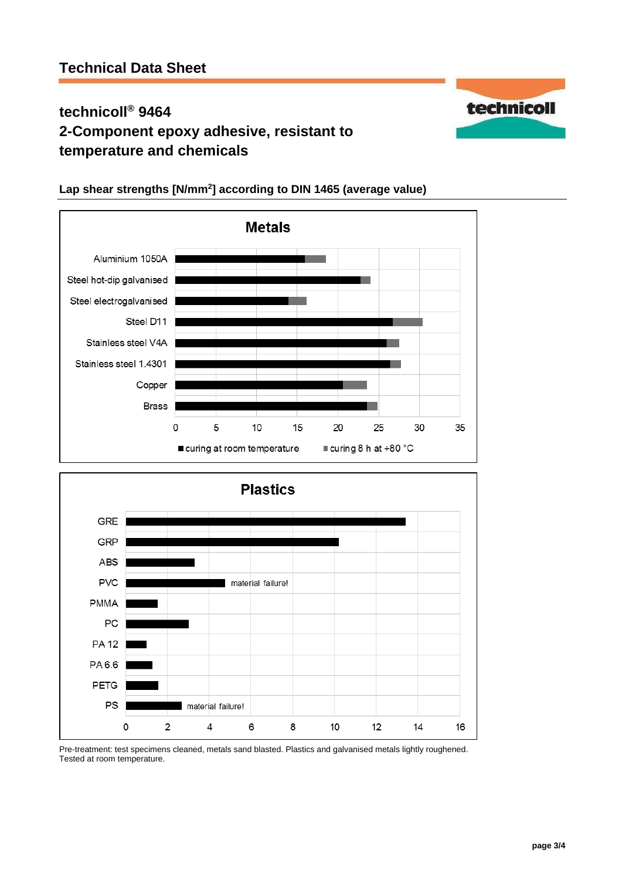# **technicoll® 9464 2-Component epoxy adhesive, resistant to temperature and chemicals**



# **Lap shear strengths [N/mm<sup>2</sup> ] according to DIN 1465 (average value)**



Pre-treatment: test specimens cleaned, metals sand blasted. Plastics and galvanised metals lightly roughened. Tested at room temperature.